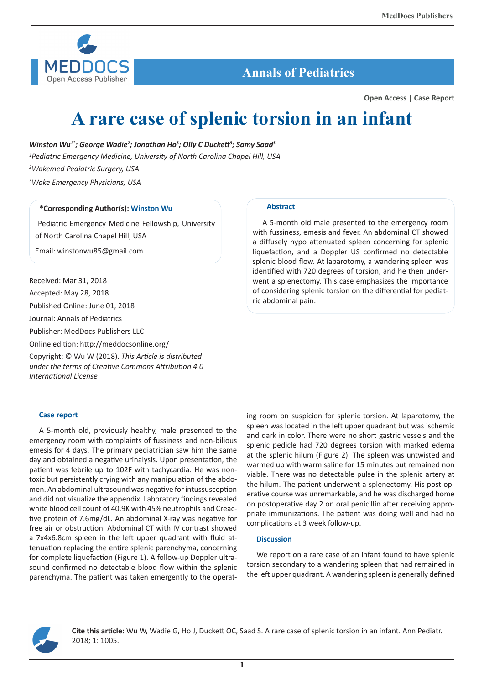

# **Annals of Pediatrics**

**Open Access | Case Report**

# **A rare case of splenic torsion in an infant**

Winston Wu<sup>1\*</sup>; George Wadie<sup>2</sup>; Jonathan Ho<sup>3</sup>; Olly C Duckett<sup>3</sup>; Samy Saad<sup>3</sup> *Pediatric Emergency Medicine, University of North Carolina Chapel Hill, USA Wakemed Pediatric Surgery, USA Wake Emergency Physicians, USA*

## **\*Corresponding Author(s): Winston Wu**

 Pediatric Emergency Medicine Fellowship, University of North Carolina Chapel Hill, USA

Email: winstonwu85@gmail.com

Received: Mar 31, 2018 Accepted: May 28, 2018

Published Online: June 01, 2018

Journal: Annals of Pediatrics

Publisher: MedDocs Publishers LLC

Online edition: http://meddocsonline.org/

Copyright: © Wu W (2018). *This Article is distributed under the terms of Creative Commons Attribution 4.0 International License*

#### **Case report**

A 5-month old, previously healthy, male presented to the emergency room with complaints of fussiness and non-bilious emesis for 4 days. The primary pediatrician saw him the same day and obtained a negative urinalysis. Upon presentation, the patient was febrile up to 102F with tachycardia. He was nontoxic but persistently crying with any manipulation of the abdomen. An abdominal ultrasound was negative for intussusception and did not visualize the appendix. Laboratory findings revealed white blood cell count of 40.9K with 45% neutrophils and Creactive protein of 7.6mg/dL. An abdominal X-ray was negative for free air or obstruction. Abdominal CT with IV contrast showed a 7x4x6.8cm spleen in the left upper quadrant with fluid attenuation replacing the entire splenic parenchyma, concerning for complete liquefaction (Figure 1). A follow-up Doppler ultrasound confirmed no detectable blood flow within the splenic parenchyma. The patient was taken emergently to the operat-

#### **Abstract**

A 5-month old male presented to the emergency room with fussiness, emesis and fever. An abdominal CT showed a diffusely hypo attenuated spleen concerning for splenic liquefaction, and a Doppler US confirmed no detectable splenic blood flow. At laparotomy, a wandering spleen was identified with 720 degrees of torsion, and he then underwent a splenectomy. This case emphasizes the importance of considering splenic torsion on the differential for pediatric abdominal pain.

ing room on suspicion for splenic torsion. At laparotomy, the spleen was located in the left upper quadrant but was ischemic and dark in color. There were no short gastric vessels and the splenic pedicle had 720 degrees torsion with marked edema at the splenic hilum (Figure 2). The spleen was untwisted and warmed up with warm saline for 15 minutes but remained non viable. There was no detectable pulse in the splenic artery at the hilum. The patient underwent a splenectomy. His post-operative course was unremarkable, and he was discharged home on postoperative day 2 on oral penicillin after receiving appropriate immunizations. The patient was doing well and had no complications at 3 week follow-up.

## **Discussion**

We report on a rare case of an infant found to have splenic torsion secondary to a wandering spleen that had remained in the left upper quadrant. A wandering spleen is generally defined



**Cite this article:** Wu W, Wadie G, Ho J, Duckett OC, Saad S. A rare case of splenic torsion in an infant. Ann Pediatr. 2018; 1: 1005.

**1**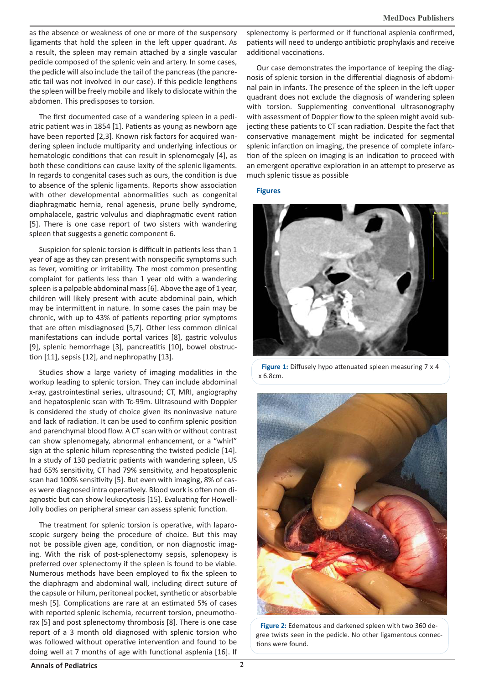as the absence or weakness of one or more of the suspensory ligaments that hold the spleen in the left upper quadrant. As a result, the spleen may remain attached by a single vascular pedicle composed of the splenic vein and artery. In some cases, the pedicle will also include the tail of the pancreas (the pancreatic tail was not involved in our case). If this pedicle lengthens the spleen will be freely mobile and likely to dislocate within the abdomen. This predisposes to torsion.

The first documented case of a wandering spleen in a pediatric patient was in 1854 [1]. Patients as young as newborn age have been reported [2,3]. Known risk factors for acquired wandering spleen include multiparity and underlying infectious or hematologic conditions that can result in splenomegaly [4], as both these conditions can cause laxity of the splenic ligaments. In regards to congenital cases such as ours, the condition is due to absence of the splenic ligaments. Reports show association with other developmental abnormalities such as congenital diaphragmatic hernia, renal agenesis, prune belly syndrome, omphalacele, gastric volvulus and diaphragmatic event ration [5]. There is one case report of two sisters with wandering spleen that suggests a genetic component 6.

Suspicion for splenic torsion is difficult in patients less than 1 year of age as they can present with nonspecific symptoms such as fever, vomiting or irritability. The most common presenting complaint for patients less than 1 year old with a wandering spleen is a palpable abdominal mass [6]. Above the age of 1 year, children will likely present with acute abdominal pain, which may be intermittent in nature. In some cases the pain may be chronic, with up to 43% of patients reporting prior symptoms that are often misdiagnosed [5,7]. Other less common clinical manifestations can include portal varices [8], gastric volvulus [9], splenic hemorrhage [3], pancreatitis [10], bowel obstruction [11], sepsis [12], and nephropathy [13].

Studies show a large variety of imaging modalities in the workup leading to splenic torsion. They can include abdominal x-ray, gastrointestinal series, ultrasound; CT, MRI, angiography and hepatosplenic scan with Tc-99m. Ultrasound with Doppler is considered the study of choice given its noninvasive nature and lack of radiation. It can be used to confirm splenic position and parenchymal blood flow. A CT scan with or without contrast can show splenomegaly, abnormal enhancement, or a "whirl" sign at the splenic hilum representing the twisted pedicle [14]. In a study of 130 pediatric patients with wandering spleen, US had 65% sensitivity, CT had 79% sensitivity, and hepatosplenic scan had 100% sensitivity [5]. But even with imaging, 8% of cases were diagnosed intra operatively. Blood work is often non diagnostic but can show leukocytosis [15]. Evaluating for Howell-Jolly bodies on peripheral smear can assess splenic function.

The treatment for splenic torsion is operative, with laparoscopic surgery being the procedure of choice. But this may not be possible given age, condition, or non diagnostic imaging. With the risk of post-splenectomy sepsis, splenopexy is preferred over splenectomy if the spleen is found to be viable. Numerous methods have been employed to fix the spleen to the diaphragm and abdominal wall, including direct suture of the capsule or hilum, peritoneal pocket, synthetic or absorbable mesh [5]. Complications are rare at an estimated 5% of cases with reported splenic ischemia, recurrent torsion, pneumothorax [5] and post splenectomy thrombosis [8]. There is one case report of a 3 month old diagnosed with splenic torsion who was followed without operative intervention and found to be doing well at 7 months of age with functional asplenia [16]. If

splenectomy is performed or if functional asplenia confirmed, patients will need to undergo antibiotic prophylaxis and receive additional vaccinations.

Our case demonstrates the importance of keeping the diagnosis of splenic torsion in the differential diagnosis of abdominal pain in infants. The presence of the spleen in the left upper quadrant does not exclude the diagnosis of wandering spleen with torsion. Supplementing conventional ultrasonography with assessment of Doppler flow to the spleen might avoid subjecting these patients to CT scan radiation. Despite the fact that conservative management might be indicated for segmental splenic infarction on imaging, the presence of complete infarction of the spleen on imaging is an indication to proceed with an emergent operative exploration in an attempt to preserve as much splenic tissue as possible

**Figures**



**Figure 1:** Diffusely hypo attenuated spleen measuring 7 x 4 x 6.8cm.



**Figure 2:** Edematous and darkened spleen with two 360 degree twists seen in the pedicle. No other ligamentous connections were found.